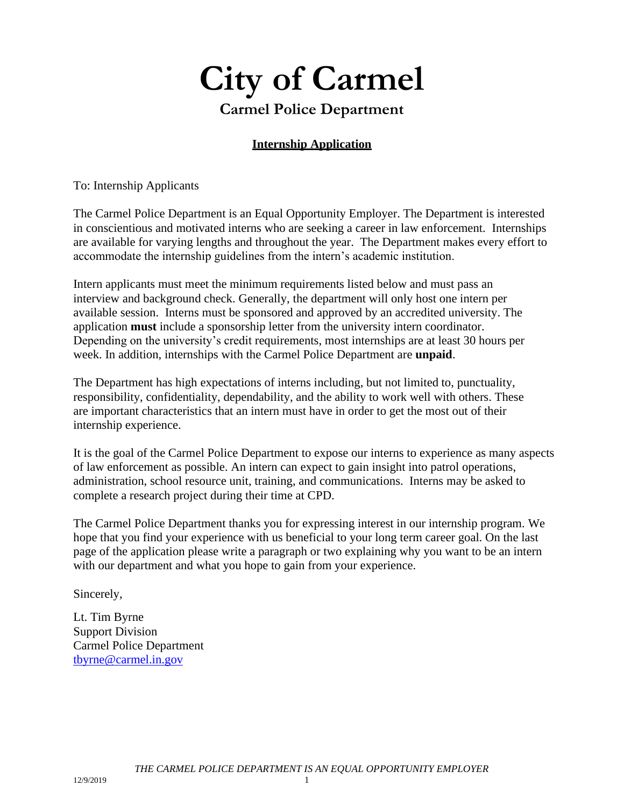# **City of Carmel Carmel Police Department**

## **Internship Application**

To: Internship Applicants

The Carmel Police Department is an Equal Opportunity Employer. The Department is interested in conscientious and motivated interns who are seeking a career in law enforcement. Internships are available for varying lengths and throughout the year. The Department makes every effort to accommodate the internship guidelines from the intern's academic institution.

Intern applicants must meet the minimum requirements listed below and must pass an interview and background check. Generally, the department will only host one intern per available session. Interns must be sponsored and approved by an accredited university. The application **must** include a sponsorship letter from the university intern coordinator. Depending on the university's credit requirements, most internships are at least 30 hours per week. In addition, internships with the Carmel Police Department are **unpaid**.

The Department has high expectations of interns including, but not limited to, punctuality, responsibility, confidentiality, dependability, and the ability to work well with others. These are important characteristics that an intern must have in order to get the most out of their internship experience.

It is the goal of the Carmel Police Department to expose our interns to experience as many aspects of law enforcement as possible. An intern can expect to gain insight into patrol operations, administration, school resource unit, training, and communications. Interns may be asked to complete a research project during their time at CPD.

The Carmel Police Department thanks you for expressing interest in our internship program. We hope that you find your experience with us beneficial to your long term career goal. On the last page of the application please write a paragraph or two explaining why you want to be an intern with our department and what you hope to gain from your experience.

Sincerely,

Lt. Tim Byrne Support Division [Carmel Police Departme](mailto:jbickel@carmel.in.gov)nt [tbyrne@carmel.in.gov](mailto:tbyrne@carmel.in.gov)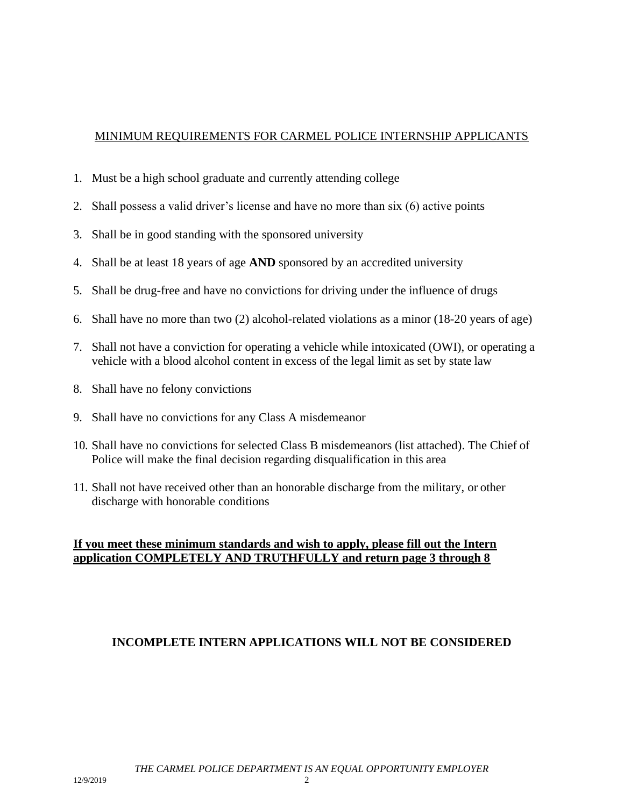#### MINIMUM REQUIREMENTS FOR CARMEL POLICE INTERNSHIP APPLICANTS

- 1. Must be a high school graduate and currently attending college
- 2. Shall possess a valid driver's license and have no more than six (6) active points
- 3. Shall be in good standing with the sponsored university
- 4. Shall be at least 18 years of age **AND** sponsored by an accredited university
- 5. Shall be drug-free and have no convictions for driving under the influence of drugs
- 6. Shall have no more than two (2) alcohol-related violations as a minor (18-20 years of age)
- 7. Shall not have a conviction for operating a vehicle while intoxicated (OWI), or operating a vehicle with a blood alcohol content in excess of the legal limit as set by state law
- 8. Shall have no felony convictions
- 9. Shall have no convictions for any Class A misdemeanor
- 10. Shall have no convictions for selected Class B misdemeanors (list attached). The Chief of Police will make the final decision regarding disqualification in this area
- 11. Shall not have received other than an honorable discharge from the military, or other discharge with honorable conditions

### **If you meet these minimum standards and wish to apply, please fill out the Intern application COMPLETELY AND TRUTHFULLY and return page 3 through 8**

#### **INCOMPLETE INTERN APPLICATIONS WILL NOT BE CONSIDERED**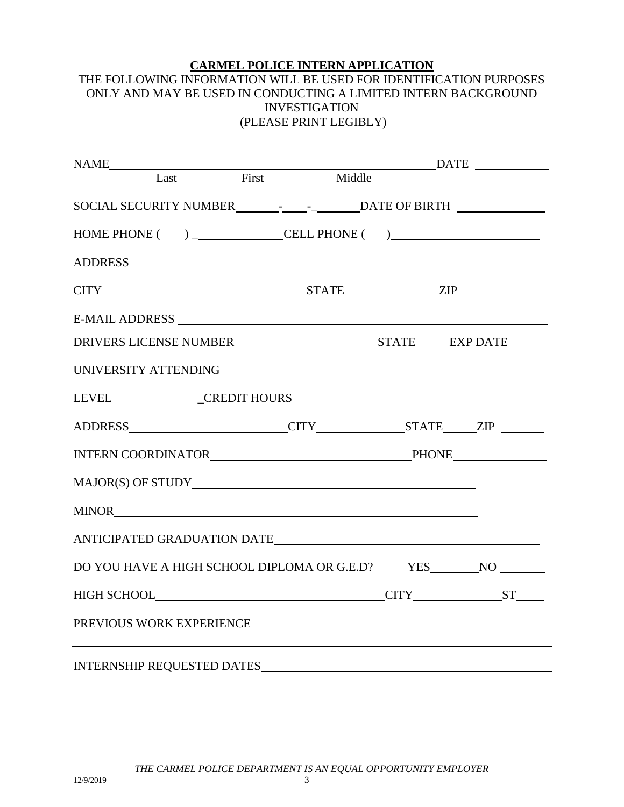#### **CARMEL POLICE INTERN APPLICATION**

#### THE FOLLOWING INFORMATION WILL BE USED FOR IDENTIFICATION PURPOSES ONLY AND MAY BE USED IN CONDUCTING A LIMITED INTERN BACKGROUND INVESTIGATION (PLEASE PRINT LEGIBLY)

| NAME                                                                              |                   |  | $\overline{\text{DATE}}$ |
|-----------------------------------------------------------------------------------|-------------------|--|--------------------------|
|                                                                                   | Last First Middle |  |                          |
|                                                                                   |                   |  |                          |
|                                                                                   |                   |  |                          |
|                                                                                   |                   |  |                          |
| $CITY$ $ZIP$                                                                      |                   |  |                          |
|                                                                                   |                   |  |                          |
|                                                                                   |                   |  |                          |
|                                                                                   |                   |  |                          |
|                                                                                   |                   |  |                          |
|                                                                                   |                   |  |                          |
|                                                                                   |                   |  |                          |
|                                                                                   |                   |  |                          |
|                                                                                   |                   |  |                          |
| ANTICIPATED GRADUATION DATE                                                       |                   |  |                          |
| DO YOU HAVE A HIGH SCHOOL DIPLOMA OR G.E.D? YES__________________________________ |                   |  |                          |
|                                                                                   |                   |  |                          |
| PREVIOUS WORK EXPERIENCE                                                          |                   |  |                          |
|                                                                                   |                   |  |                          |
| INTERNSHIP REQUESTED DATES                                                        |                   |  |                          |

*THE CARMEL POLICE DEPARTMENT IS AN EQUAL OPPORTUNITY EMPLOYER*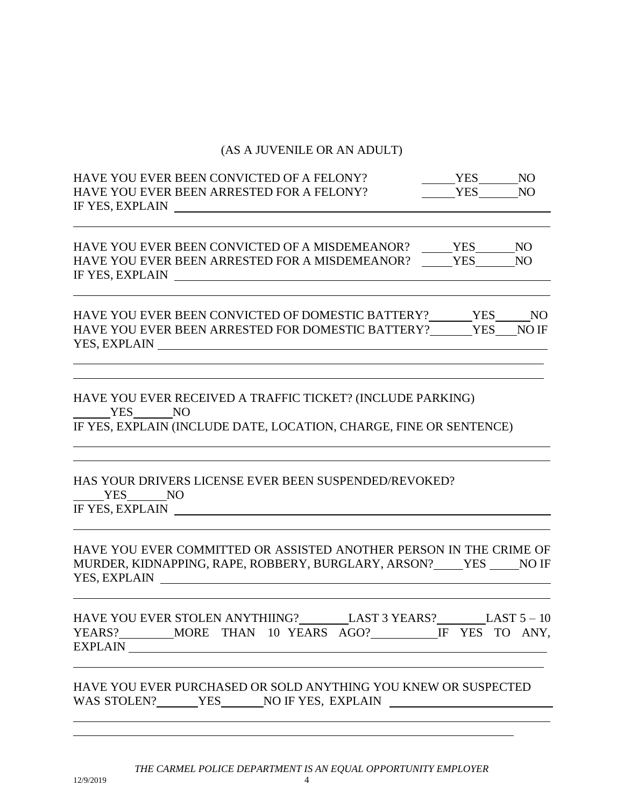## (AS A JUVENILE OR AN ADULT)

| HAVE YOU EVER BEEN CONVICTED OF A FELONY?<br>HAVE YOU EVER BEEN ARRESTED FOR A FELONY?<br>IF YES, EXPLAIN                                           | YES NO<br><b>YES</b> | N <sub>O</sub> |
|-----------------------------------------------------------------------------------------------------------------------------------------------------|----------------------|----------------|
| HAVE YOU EVER BEEN CONVICTED OF A MISDEMEANOR? ______ YES_______ NO<br>HAVE YOU EVER BEEN ARRESTED FOR A MISDEMEANOR?<br>IF YES, EXPLAIN            | <b>YES</b>           | N <sub>O</sub> |
| HAVE YOU EVER BEEN CONVICTED OF DOMESTIC BATTERY? YES NO<br>HAVE YOU EVER BEEN ARRESTED FOR DOMESTIC BATTERY? YES NO IF                             |                      |                |
| HAVE YOU EVER RECEIVED A TRAFFIC TICKET? (INCLUDE PARKING)<br>YES NO<br>IF YES, EXPLAIN (INCLUDE DATE, LOCATION, CHARGE, FINE OR SENTENCE)          |                      |                |
| HAS YOUR DRIVERS LICENSE EVER BEEN SUSPENDED/REVOKED?<br>YES NO<br>IF YES, EXPLAIN                                                                  |                      |                |
| HAVE YOU EVER COMMITTED OR ASSISTED ANOTHER PERSON IN THE CRIME OF<br>MURDER, KIDNAPPING, RAPE, ROBBERY, BURGLARY, ARSON? YES NO IF                 |                      |                |
| LAST 3 YEARS? LAST $5 - 10$<br>HAVE YOU EVER STOLEN ANYTHIING?<br>YEARS? ________ MORE THAN 10 YEARS AGO? __________ IF YES TO ANY,                 |                      |                |
| HAVE YOU EVER PURCHASED OR SOLD ANYTHING YOU KNEW OR SUSPECTED<br>WAS STOLEN? _______YES_______NO IF YES, EXPLAIN _________________________________ |                      |                |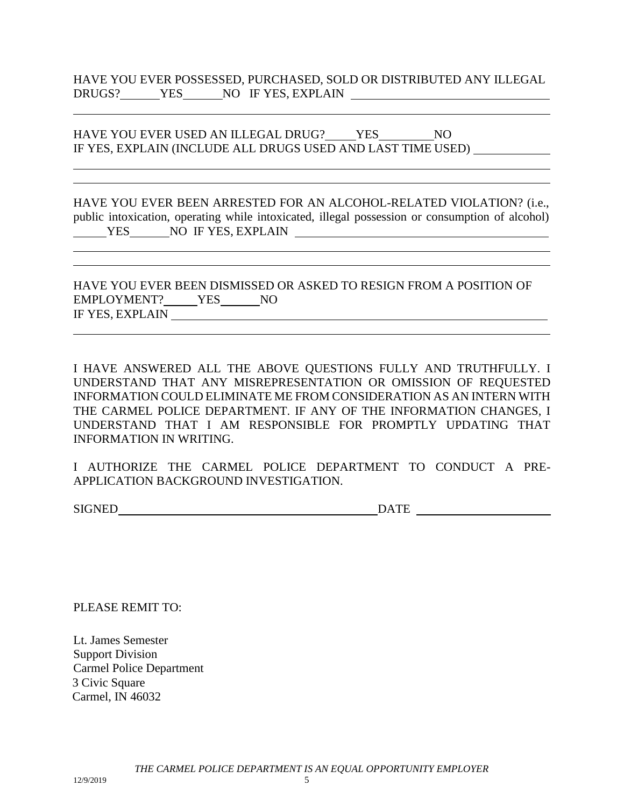HAVE YOU EVER USED AN ILLEGAL DRUG? YES NO IF YES, EXPLAIN (INCLUDE ALL DRUGS USED AND LAST TIME USED)

HAVE YOU EVER BEEN ARRESTED FOR AN ALCOHOL-RELATED VIOLATION? (i.e., public intoxication, operating while intoxicated, illegal possession or consumption of alcohol) YES NO IF YES, EXPLAIN

HAVE YOU EVER BEEN DISMISSED OR ASKED TO RESIGN FROM A POSITION OF EMPLOYMENT? YES NO IF YES, EXPLAIN

I HAVE ANSWERED ALL THE ABOVE QUESTIONS FULLY AND TRUTHFULLY. I UNDERSTAND THAT ANY MISREPRESENTATION OR OMISSION OF REQUESTED INFORMATION COULD ELIMINATE ME FROM CONSIDERATION AS AN INTERN WITH THE CARMEL POLICE DEPARTMENT. IF ANY OF THE INFORMATION CHANGES, I UNDERSTAND THAT I AM RESPONSIBLE FOR PROMPTLY UPDATING THAT INFORMATION IN WRITING.

I AUTHORIZE THE CARMEL POLICE DEPARTMENT TO CONDUCT A PRE-APPLICATION BACKGROUND INVESTIGATION.

SIGNED DATE

PLEASE REMIT TO:

Lt. James Semester Support Division Carmel Police Department 3 Civic Square Carmel, IN 46032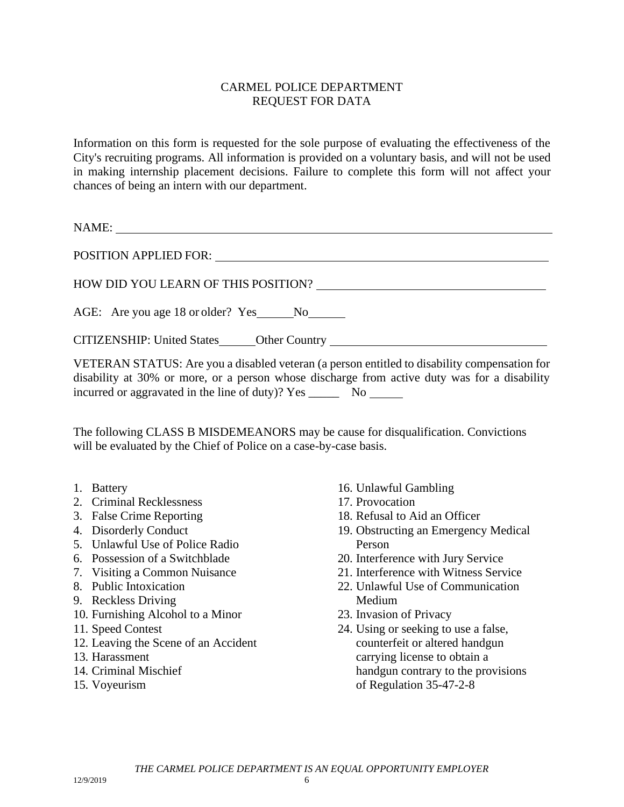#### CARMEL POLICE DEPARTMENT REQUEST FOR DATA

Information on this form is requested for the sole purpose of evaluating the effectiveness of the City's recruiting programs. All information is provided on a voluntary basis, and will not be used in making internship placement decisions. Failure to complete this form will not affect your chances of being an intern with our department.

NAME:

| POSITION APPLIED FOR:                                                            |
|----------------------------------------------------------------------------------|
| HOW DID YOU LEARN OF THIS POSITION?                                              |
| AGE: Are you age 18 or older? Yes No                                             |
| CITIZENSHIP: United States______Other Country __________________________________ |

VETERAN STATUS: Are you a disabled veteran (a person entitled to disability compensation for disability at 30% or more, or a person whose discharge from active duty was for a disability incurred or aggravated in the line of duty)? Yes \_\_\_\_\_ No

The following CLASS B MISDEMEANORS may be cause for disqualification. Convictions will be evaluated by the Chief of Police on a case-by-case basis.

- 1. Battery
- 2. Criminal Recklessness
- 3. False Crime Reporting
- 4. Disorderly Conduct
- 5. Unlawful Use of Police Radio
- 6. Possession of a Switchblade
- 7. Visiting a Common Nuisance
- 8. Public Intoxication
- 9. Reckless Driving
- 10. Furnishing Alcohol to a Minor
- 11. Speed Contest
- 12. Leaving the Scene of an Accident
- 13. Harassment
- 14. Criminal Mischief
- 15. Voyeurism
- 16. Unlawful Gambling
- 17. Provocation
- 18. Refusal to Aid an Officer
- 19. Obstructing an Emergency Medical Person
- 20. Interference with Jury Service
- 21. Interference with Witness Service
- 22. Unlawful Use of Communication Medium
- 23. Invasion of Privacy
- 24. Using or seeking to use a false, counterfeit or altered handgun carrying license to obtain a handgun contrary to the provisions of Regulation 35-47-2-8